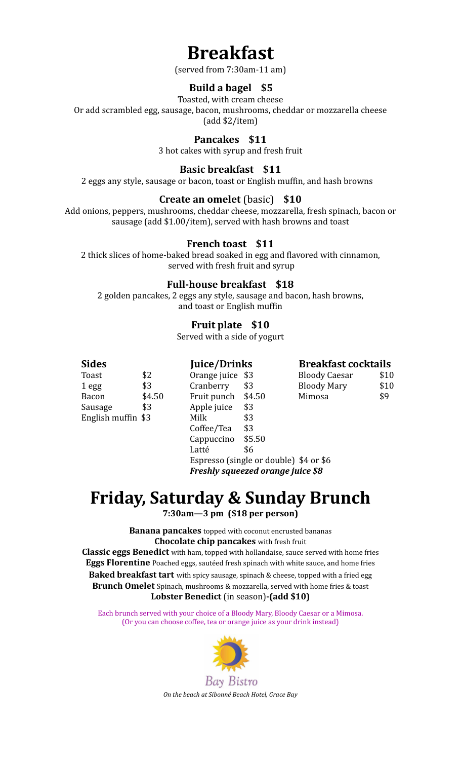# **Breakfast**

(served from 7:30am-11 am)

## **Build a bagel \$5**

Toasted, with cream cheese

Or add scrambled egg, sausage, bacon, mushrooms, cheddar or mozzarella cheese

(add \$2/item)

**Pancakes \$11**

3 hot cakes with syrup and fresh fruit

## **Basic breakfast \$11**

2 eggs any style, sausage or bacon, toast or English muffin, and hash browns

### **Create an omelet** (basic) **\$10**

Add onions, peppers, mushrooms, cheddar cheese, mozzarella, fresh spinach, bacon or sausage (add \$1.00/item), served with hash browns and toast

### **French toast \$11**

2 thick slices of home-baked bread soaked in egg and flavored with cinnamon, served with fresh fruit and syrup

### **Full-house breakfast \$18**

2 golden pancakes, 2 eggs any style, sausage and bacon, hash browns, and toast or English muffin

# **Fruit plate \$10**

Served with a side of yogurt

| <b>Sides</b>       |        |                                        | Juice/Drinks                      |                      | <b>Breakfast cocktails</b> |  |
|--------------------|--------|----------------------------------------|-----------------------------------|----------------------|----------------------------|--|
| Toast              | \$2    | Orange juice \$3                       |                                   | <b>Bloody Caesar</b> | \$10                       |  |
| 1 <sub>egg</sub>   | \$3    | Cranberry                              | \$3                               | <b>Bloody Mary</b>   | \$10                       |  |
| Bacon              | \$4.50 | Fruit punch                            | \$4.50                            | Mimosa               | \$9                        |  |
| Sausage            | \$3    | Apple juice                            | \$3                               |                      |                            |  |
| English muffin \$3 |        | Milk                                   | \$3                               |                      |                            |  |
|                    |        | Coffee/Tea                             | \$3                               |                      |                            |  |
|                    |        | Cappuccino                             | \$5.50                            |                      |                            |  |
|                    |        | Latté                                  | \$6                               |                      |                            |  |
|                    |        | Espresso (single or double) \$4 or \$6 |                                   |                      |                            |  |
|                    |        |                                        | Freshly squeezed orange juice \$8 |                      |                            |  |

# **Friday, Saturday & Sunday Brunch**

**7:30am—3 pm (\$18 per person)**

**Banana pancakes** topped with coconut encrusted bananas **Chocolate chip pancakes** with fresh fruit

**Classic eggs Benedict** with ham, topped with hollandaise, sauce served with home fries **Eggs Florentine** Poached eggs, sautéed fresh spinach with white sauce, and home fries **Baked breakfast tart** with spicy sausage, spinach & cheese, topped with a fried egg **Brunch Omelet** Spinach, mushrooms & mozzarella, served with home fries & toast **Lobster Benedict** (in season)**-(add \$10)**

Each brunch served with your choice of a Bloody Mary, Bloody Caesar or a Mimosa. (Or you can choose coffee, tea or orange juice as your drink instead)